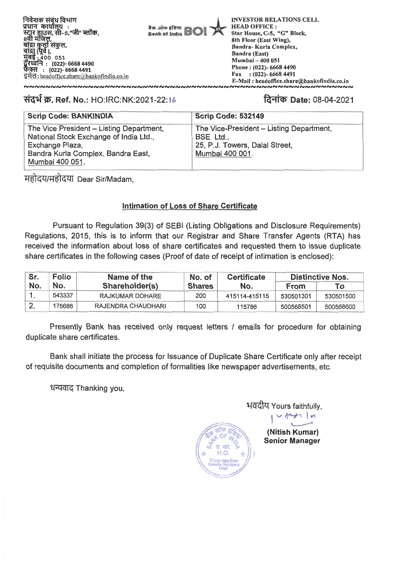निवेशक संबंध विभाग प्रधान कार्यालय : स्टार हाउस, सी–5,"जी" ब्लॉक,<br>8वी मंजिल, वांद्रा कुर्ला संकुल,<br>बांद्रा (पूर्व ),<br>मुंबई - 400 051<br>दूरध्वनि : (022)- 6668 4490 फैक्स : (022)- 6668 4491 इमेल: headoffice.share@bankofindia.co.in

aren arres afirm Bank of India

**INVESTOR RELATIONS CELL HEAD OFFICE:** Star House, C-5, "G" Block. 8th Floor (East Wing), Bandra-Kurla Complex, **Bandra (East)** Mumbai - 400 051 Phone: (022)- 6668 4490 Fax:  $(022) - 66684491$ E-Mail: headoffice.share@bankofindia.co.in <u>UMAINIAINIAINIAINIAINIAINIAIN</u>

## संदर्भ क्र. Ref. No.: HO:IRC:NK:2021-22:16

**NNNNNNNNNNNNNNNNNNNNNNN** 

# दिनांक Date: 08-04-2021

| <b>Scrip Code: BANKINDIA</b>             | <b>Scrip Code: 532149</b>                |
|------------------------------------------|------------------------------------------|
| The Vice President - Listing Department, | The Vice-President - Listing Department, |
| National Stock Exchange of India Ltd.,   | BSE Ltd.,                                |
| Exchange Plaza,                          | 25, P.J. Towers, Dalal Street,           |
| Bandra Kurla Complex, Bandra East,       | Mumbai 400 001.                          |
| Mumbai 400 051.                          |                                          |

महोदय/महोदया Dear Sir/Madam,

## **Intimation of Loss of Share Certificate**

Pursuant to Regulation 39(3) of SEBI (Listing Obligations and Disclosure Requirements) Regulations, 2015, this is to inform that our Registrar and Share Transfer Agents (RTA) has received the information about loss of share certificates and requested them to issue duplicate share certificates in the following cases (Proof of date of receipt of intimation is enclosed):

| Sr.<br><b>Folio</b> |        | Name of the        | No. of        | <b>Certificate</b> | <b>Distinctive Nos.</b> |           |
|---------------------|--------|--------------------|---------------|--------------------|-------------------------|-----------|
| No.                 | No.    | Shareholder(s)     | <b>Shares</b> | No.                | <b>From</b>             | ⊤о        |
|                     | 543337 | RAJKUMAR DOHARE    | 200           | 415114-415115      | 530501301               | 530501500 |
|                     | 175686 | RAJENDRA CHAUDHARI | 100           | 115786             | 500568501               | 500568600 |

Presently Bank has received only request letters / emails for procedure for obtaining duplicate share certificates.

Bank shall initiate the process for Issuance of Duplicate Share Certificate only after receipt of requisite documents and completion of formalities like newspaper advertisements, etc.

धन्यवाद Thanking you,

H.O

भवदीय Yours faithfully,

(Nitish Kumar) **Senior Manager**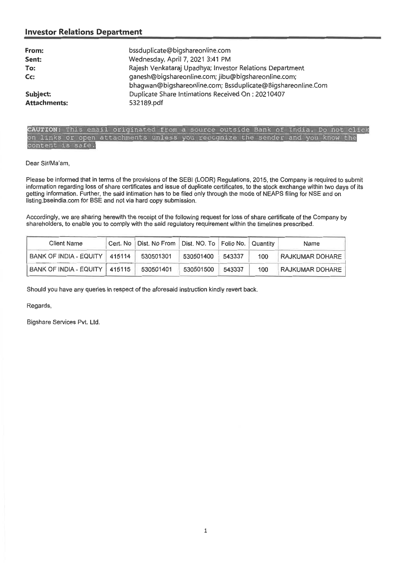## **Investor Relations Department**

| From:<br>Sent:<br>To:<br>Cc:<br>Subject: | bssduplicate@bigshareonline.com<br>Wednesday, April 7, 2021 3:41 PM<br>Rajesh Venkataraj Upadhya; Investor Relations Department<br>ganesh@bigshareonline.com; jibu@bigshareonline.com;<br>bhagwan@bigshareonline.com; Bssduplicate@Bigshareonline.Com<br>Duplicate Share Intimations Received On: 20210407 |
|------------------------------------------|------------------------------------------------------------------------------------------------------------------------------------------------------------------------------------------------------------------------------------------------------------------------------------------------------------|
| <b>Attachments:</b>                      | 532189.pdf                                                                                                                                                                                                                                                                                                 |

#### CAUTION: This email originated from a source outside Bank of India. Do not click on links or open attachments unless you recognize the sender and you know the content is safe.

#### Dear Sir/Ma'am,

Please be informed that in terms of the provisions of the SEBI (LODR) Regulations, 2015, the Company is required to submit information regarding loss of share certificates and issue of duplicate certificates, to the stock exchange within two days of its getting information. Further, the said intimation has to be filed only through the mode of NEAPS filing for NSE and on listing.bseindia.com for BSE and not via hard copy submission.

Accordingly, we are sharing herewith the receipt of the following request for loss of share certificate of the Company by shareholders, to enable you to comply with the said regulatory requirement within the timelines prescribed.

| <b>Client Name</b>              | Cert. No   Dist. No From   Dist. NO. To   Folio No.   Quantity |           |        |     | Name                   |
|---------------------------------|----------------------------------------------------------------|-----------|--------|-----|------------------------|
| BANK OF INDIA - EQUITY   415114 | 530501301                                                      | 530501400 | 543337 | 100 | <b>RAJKUMAR DOHARE</b> |
| BANK OF INDIA - EQUITY   415115 | 530501401                                                      | 530501500 | 543337 | 100 | <b>RAJKUMAR DOHARE</b> |

Should you have any queries in respect of the aforesaid instruction kindly revert back.

Regards,

Bigshare Services Pvt. Ltd.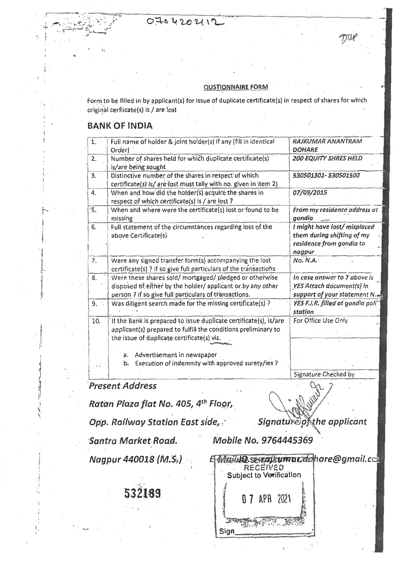# 070420211

### **QUSTIONNAIRE FOR**

Form to be filled in by applicant(s) for issue of duplicate certificate(s) in respect of shares for which original cerfiicate(s) is / are lost

# **BANK OF INDIA**

| 1.         | Full name of holder & joint holder(s) if any (fill in identical<br>Order)                                                                                                         | <b>RAJKUMAR ANANTRAM</b><br><b>DOHARE</b>                                                       |
|------------|-----------------------------------------------------------------------------------------------------------------------------------------------------------------------------------|-------------------------------------------------------------------------------------------------|
| 2.         | Number of shares held for which duplicate certificate(s)<br>is/are being sought                                                                                                   | <b>200 EQUITY SHRES HELD</b>                                                                    |
| 3.         | Distinctive number of the shares in respect of which<br>certificate(s) is/ are lost must tally with no. given in item 2)                                                          | 530501301-530501500                                                                             |
| 4.         | When and how did the holder(s) acquire the shares in<br>respect of which certificate(s) is / are lost ?                                                                           | 07/09/2015                                                                                      |
| $\cdot$ 5. | When and where were the certificate(s) lost or found to be<br>missing                                                                                                             | From my residence address at<br>gondia                                                          |
| 6.         | Full statement of the circumstances regarding loss of the<br>above Certificate(s)                                                                                                 | I might have lost/misplaced<br>them during shifting of my<br>residence from gondia to<br>nagpur |
| 7.         | Were any signed transfer form(s) accompanying the lost<br>certificate(s) ? if so give full particulars of the transactions                                                        | No. N.A.                                                                                        |
| 8.         | Were these shares sold/mortgaged/pledged or otherwise<br>disposed of either by the holder/ applicant or by any other<br>person ? if so give full particulars of transactions.     | In case answer to 7 above is<br>YES Attach document(s) in<br>support of your statement N.       |
| 9.         | Was diligent search made for the missing certificate(s)?                                                                                                                          | YES F.I.R. filled at gondia poli"<br>station                                                    |
| 10.        | If the Bank is prepared to issue duplicate certificate(s), is/are<br>applicant(s) prepared to fulfill the conditions preliminary to<br>the issue of duplicate certificate(s) viz. | For Office Use Only                                                                             |
|            | a. Advertisement in newspaper<br>Execution of indemnity with approved surety/ies ?<br>b.                                                                                          |                                                                                                 |
|            |                                                                                                                                                                                   | Signature Checked by                                                                            |

**Present Address** 

Ratan Plaza flat No. 405, 4th Floor,

**Opp. Railway Station East side,** 

Signature of the applicant

Santra Market Road.

Mobile No. 9764445369

Nagpur 440018 (M.S.)

2189

**Bailet P. SEikariksman.com**<br>RECEIVED<br>Subject to Verification APR 2021 Sign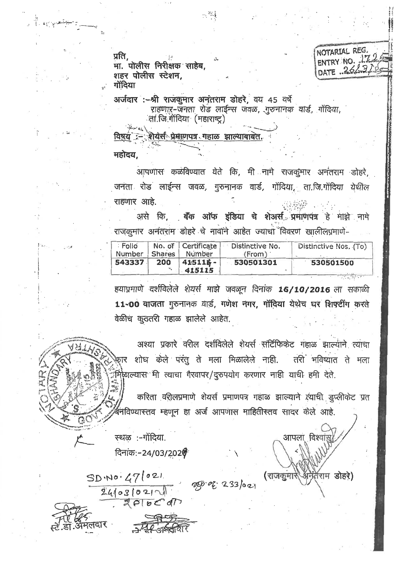प्रति, मा. पोलीस निरीक्षक साहेब. शहर पोलीस स्टेशन, गोंदिया

NOTARIAL REG. ENTRY NO. 172 DATE 26/31

अर्जदार :-श्री राजकुमार अनंतराम डोहरे, वय 45 वर्षे राहणाऱ-जनता रोड लाईन्स जवळ, गुरुनानक वार्ड, गोंदिया, ्ता.जि.गोंदिया (महाराष्ट्र)

는 *작품* 

.<br>शेयर्स प्रेमाणपत्र गहाळ झाल्याबाबेत. विषय

महोदय.

आपणास कळविण्यात येते कि, मी नामे राजकुमार अनंतराम डोहरे. जनता रोड लाईन्स जवळ, गुरुनानक वार्ड, गोंदिया, ता.जि.गोंदिया येथील राहणार आहे.

असे कि, बैंक ऑफ इंडिया चे शेअर्स प्रमाणपत्र हे माझे नामे राजकुमार अनंतराम डोहरे चे नावाने आहेत ज्याचा विवरण खालीलप्रमाणे-

| : Folio<br>Number   Shares |     | No. of Certificate<br>Number | Distinctive No.<br>(From) | Distinctive Nos. (To) |  |
|----------------------------|-----|------------------------------|---------------------------|-----------------------|--|
| 543337                     | 200 | $415115 -$<br>415115         | 530501301                 | 530501500             |  |

हयाप्रमाणे दर्शविलेले शेयर्स माझे जवळून दिनांक 16/10/2016 ला सकाळी 11-00 वाजता गुरुनानक वार्ड, गणेश नगर, गोंदिया येथेच घर शिफ्टींग करते वेळीच कुठतरी गहाळ झालेले आहेत.

अश्या प्रकारे वरील दर्शविलेले शेयर्स सर्टिफिकेट गहाळ झाल्याने त्याचा .<br>फ़ार शोध केले परंतु ते मला मिळालेले नाही. तरी भविष्यात ते मला ्रँमिकाल्यास<sup>्</sup>मी त्याचा गैरवापर/दुरुपयोग करणार नाही याची हमी देते.

करिता वरीलप्रमाणे शेयर्स प्रमाणपत्र गहाळ झाल्याने त्याची डुप्लीकेट प्रत ग्निविण्यास्तव म्हणून हा अर्ज आपणास माहितीस्तव सादर केले आहे.

 $233021$ 

आपला विश्व

(राजकुमारे अनेतराम डोहरे)

स्थळ :-गोंदिया.

 $SDM0.471021$ 

ादार

 $24031021$ 

दिनांक:-24/03/2020

 $ZPIbCd$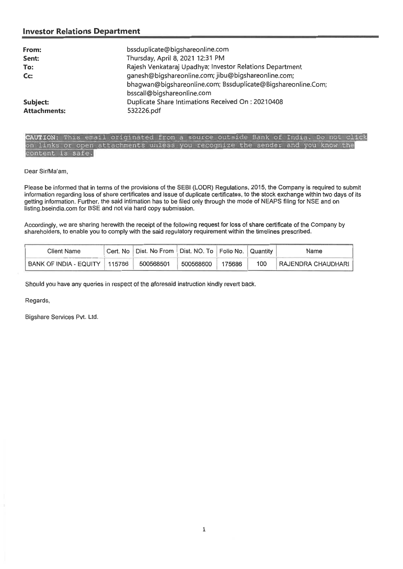## **Investor Relations Department**

| From:<br>Sent:<br>To:<br>Cc:    | bssduplicate@bigshareonline.com<br>Thursday, April 8, 2021 12:31 PM<br>Rajesh Venkataraj Upadhya; Investor Relations Department<br>ganesh@bigshareonline.com; jibu@bigshareonline.com;<br>bhagwan@bigshareonline.com; Bssduplicate@Bigshareonline.Com; |
|---------------------------------|--------------------------------------------------------------------------------------------------------------------------------------------------------------------------------------------------------------------------------------------------------|
| Subject:<br><b>Attachments:</b> | bsscall@bigshareonline.com<br>Duplicate Share Intimations Received On: 20210408<br>532226.pdf                                                                                                                                                          |

CAUTION: This email originated from a source outside Bank of India. Do not  $c1ick$ links or open attachments unless you recognize the sender and you know the tent is safe.

Dear Sir/Ma'am,

Please be informed that in terms of the provisions of the SEBI (LODR) Regulations, 2015, the Company is required to submit information regarding loss of share certificates and issue of duplicate certificates, to the stock exchange within two days of its getting information. Further, the said intimation has to be filed only through the mode of NEAPS filing for NSE and on listing.bseindia.com for BSE and not via hard copy submission.

Accordingly, we are sharing herewith the receipt of the following request for loss of share certificate of the Company by shareholders, to enable you to comply with the said regulatory requirement within the timelines prescribed.

| Client Name                     | Cert. No   Dist. No From   Dist. NO. To   Folio No.   Quantity |           |        |     | Name                       |
|---------------------------------|----------------------------------------------------------------|-----------|--------|-----|----------------------------|
| BANK OF INDIA - EQUITY   115786 | 500568501                                                      | 500568600 | 175686 | 100 | <b>TRAJENDRA CHAUDHARI</b> |

Should you have any queries in respect of the aforesaid instruction kindly **revert** back.

Regards,

Bigshare Services Pvt. Ltd.